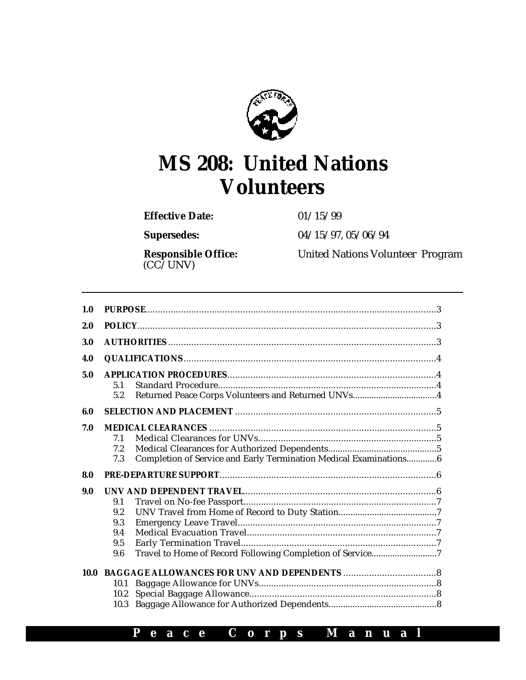

# **MS 208: United Nations Volunteers**

**Effective Date:** 01/15/99

**Supersedes:** 04/15/97, 05/06/94

(CC/UNV)

**Responsible Office:** United Nations Volunteer Program

| 1.0  |                      |                                                                   |  |
|------|----------------------|-------------------------------------------------------------------|--|
| 2.0  |                      |                                                                   |  |
| 3.0  |                      |                                                                   |  |
| 4.0  |                      |                                                                   |  |
| 5.0  | 5.1                  |                                                                   |  |
|      | 5.2                  |                                                                   |  |
| 6.0  |                      |                                                                   |  |
| 7.0  |                      |                                                                   |  |
|      | 7.1                  |                                                                   |  |
|      | 7.2                  |                                                                   |  |
|      | 7.3                  | Completion of Service and Early Termination Medical Examinations6 |  |
| 8.0  |                      |                                                                   |  |
| 9.0  |                      |                                                                   |  |
|      | 9.1                  |                                                                   |  |
|      | 9.2                  |                                                                   |  |
|      | 9.3                  |                                                                   |  |
|      | 9.4                  |                                                                   |  |
|      | 9.5                  |                                                                   |  |
|      | 9.6                  | Travel to Home of Record Following Completion of Service7         |  |
| 10.0 | 10.1<br>10.2<br>10.3 |                                                                   |  |

# **P e a c e C o r p s M a n u a l**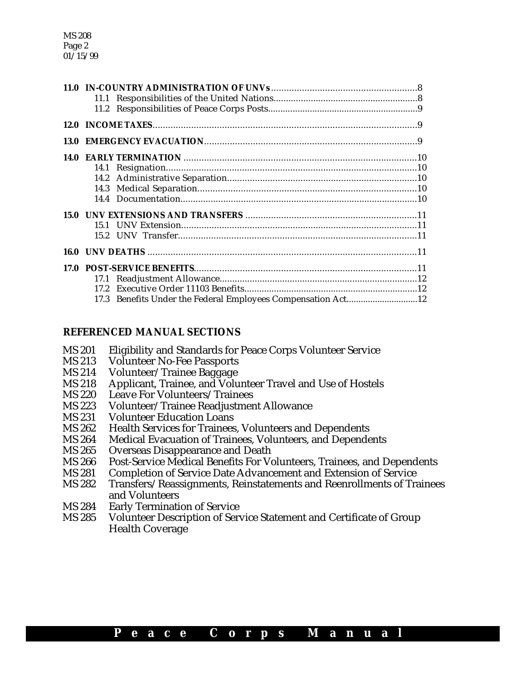MS 208 Page 2 01/15/99

|  | 17.3 Benefits Under the Federal Employees Compensation Act12 |  |
|--|--------------------------------------------------------------|--|

#### **REFERENCED MANUAL SECTIONS**

- MS 201 Eligibility and Standards for Peace Corps Volunteer Service<br>MS 213 Volunteer No-Fee Passports
- **Volunteer No-Fee Passports**
- MS 214 Volunteer/Trainee Baggage
- MS 218 Applicant, Trainee, and Volunteer Travel and Use of Hostels
- MS 220 Leave For Volunteers/Trainees
- MS 223 Volunteer/Trainee Readjustment Allowance<br>MS 231 Volunteer Education Loans
- **Volunteer Education Loans**
- MS 262 Health Services for Trainees, Volunteers and Dependents<br>MS 264 Medical Evacuation of Trainees. Volunteers, and Depende
- Medical Evacuation of Trainees, Volunteers, and Dependents
- MS 265 Overseas Disappearance and Death<br>MS 266 Post-Service Medical Benefits For Vo
- MS 266 Post-Service Medical Benefits For Volunteers, Trainees, and Dependents<br>MS 281 Completion of Service Date Advancement and Extension of Service
- MS 281 Completion of Service Date Advancement and Extension of Service<br>MS 282 Transfers/Reassignments, Reinstatements and Reenrollments of Tra
- Transfers/Reassignments, Reinstatements and Reenrollments of Trainees and Volunteers
- MS 284 Early Termination of Service
- MS 285 Volunteer Description of Service Statement and Certificate of Group Health Coverage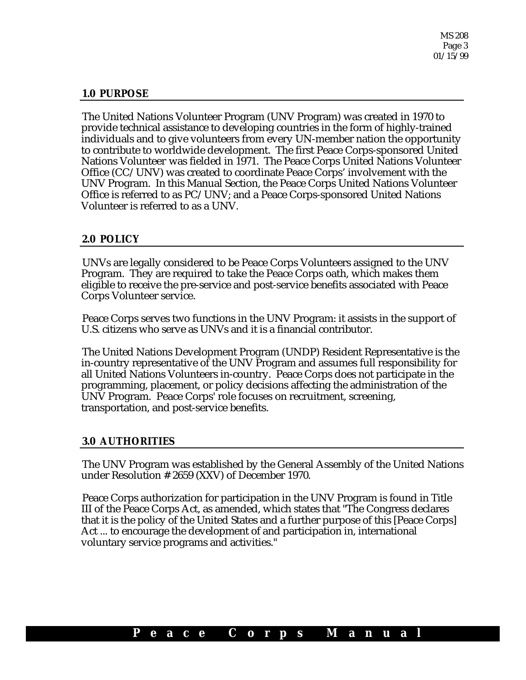MS 208 Page 3 01/15/99

# **1.0 PURPOSE**

The United Nations Volunteer Program (UNV Program) was created in 1970 to provide technical assistance to developing countries in the form of highly-trained individuals and to give volunteers from every UN-member nation the opportunity to contribute to worldwide development. The first Peace Corps-sponsored United Nations Volunteer was fielded in 1971. The Peace Corps United Nations Volunteer Office (CC/UNV) was created to coordinate Peace Corps' involvement with the UNV Program. In this Manual Section, the Peace Corps United Nations Volunteer Office is referred to as PC/UNV; and a Peace Corps-sponsored United Nations Volunteer is referred to as a UNV.

#### **2.0 POLICY**

UNVs are legally considered to be Peace Corps Volunteers assigned to the UNV Program. They are required to take the Peace Corps oath, which makes them eligible to receive the pre-service and post-service benefits associated with Peace Corps Volunteer service.

Peace Corps serves two functions in the UNV Program: it assists in the support of U.S. citizens who serve as UNVs and it is a financial contributor.

The United Nations Development Program (UNDP) Resident Representative is the in-country representative of the UNV Program and assumes full responsibility for all United Nations Volunteers in-country. Peace Corps does not participate in the programming, placement, or policy decisions affecting the administration of the UNV Program. Peace Corps' role focuses on recruitment, screening, transportation, and post-service benefits.

# **3.0 AUTHORITIES**

The UNV Program was established by the General Assembly of the United Nations under Resolution # 2659 (XXV) of December 1970.

Peace Corps authorization for participation in the UNV Program is found in Title III of the Peace Corps Act, as amended, which states that "The Congress declares that it is the policy of the United States and a further purpose of this [Peace Corps] Act ... to encourage the development of and participation in, international voluntary service programs and activities."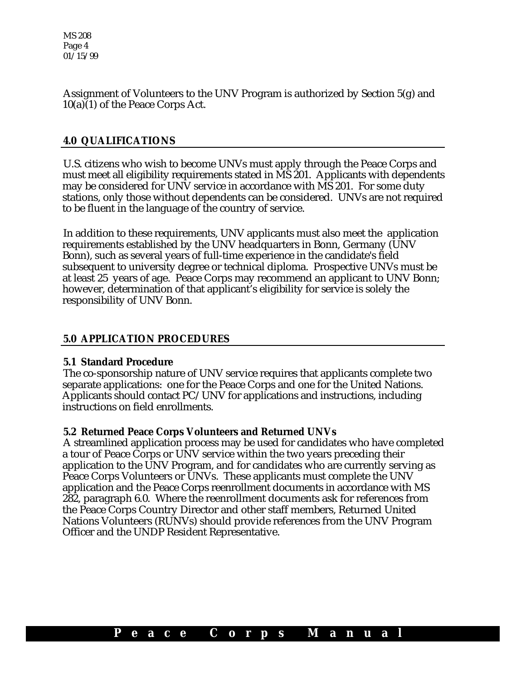MS 208 Page 4 01/15/99

Assignment of Volunteers to the UNV Program is authorized by Section 5(g) and 10(a)(1) of the Peace Corps Act.

# **4.0 QUALIFICATIONS**

U.S. citizens who wish to become UNVs must apply through the Peace Corps and must meet all eligibility requirements stated in MS 201. Applicants with dependents may be considered for UNV service in accordance with MS 201. For some duty stations, only those without dependents can be considered. UNVs are not required to be fluent in the language of the country of service.

In addition to these requirements, UNV applicants must also meet the application requirements established by the UNV headquarters in Bonn, Germany (UNV Bonn), such as several years of full-time experience in the candidate's field subsequent to university degree or technical diploma. Prospective UNVs must be at least 25 years of age. Peace Corps may recommend an applicant to UNV Bonn; however, determination of that applicant's eligibility for service is solely the responsibility of UNV Bonn.

# **5.0 APPLICATION PROCEDURES**

#### **5.1 Standard Procedure**

The co-sponsorship nature of UNV service requires that applicants complete two separate applications: one for the Peace Corps and one for the United Nations. Applicants should contact PC/UNV for applications and instructions, including instructions on field enrollments.

#### **5.2 Returned Peace Corps Volunteers and Returned UNVs**

A streamlined application process may be used for candidates who have completed a tour of Peace Corps or UNV service within the two years preceding their application to the UNV Program, and for candidates who are currently serving as Peace Corps Volunteers or UNVs. These applicants must complete the UNV application and the Peace Corps reenrollment documents in accordance with MS 282, paragraph 6.0. Where the reenrollment documents ask for references from the Peace Corps Country Director and other staff members, Returned United Nations Volunteers (RUNVs) should provide references from the UNV Program Officer and the UNDP Resident Representative.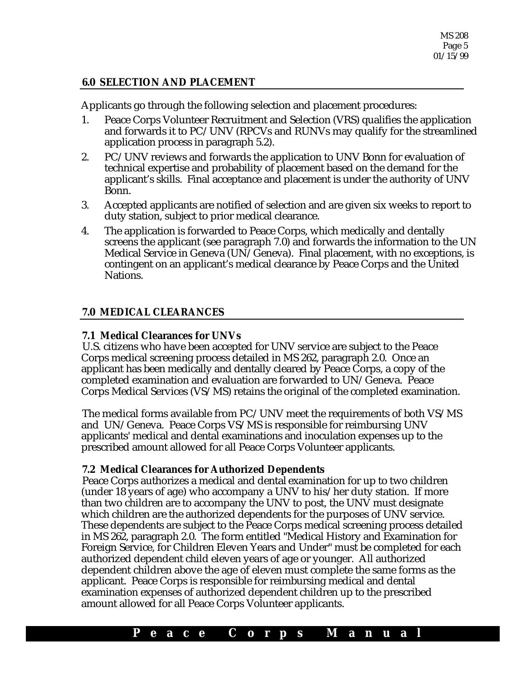# **6.0 SELECTION AND PLACEMENT**

Applicants go through the following selection and placement procedures:

- 1. Peace Corps Volunteer Recruitment and Selection (VRS) qualifies the application and forwards it to PC/UNV (RPCVs and RUNVs may qualify for the streamlined application process in paragraph 5.2).
- 2. PC/UNV reviews and forwards the application to UNV Bonn for evaluation of technical expertise and probability of placement based on the demand for the applicant's skills. Final acceptance and placement is under the authority of UNV Bonn.
- 3. Accepted applicants are notified of selection and are given six weeks to report to duty station, subject to prior medical clearance.
- 4. The application is forwarded to Peace Corps, which medically and dentally screens the applicant (see paragraph 7.0) and forwards the information to the UN Medical Service in Geneva (UN/Geneva). Final placement, with no exceptions, is contingent on an applicant's medical clearance by Peace Corps and the United Nations.

# **7.0 MEDICAL CLEARANCES**

# **7.1 Medical Clearances for UNVs**

U.S. citizens who have been accepted for UNV service are subject to the Peace Corps medical screening process detailed in MS 262, paragraph 2.0. Once an applicant has been medically and dentally cleared by Peace Corps, a copy of the completed examination and evaluation are forwarded to UN/Geneva. Peace Corps Medical Services (VS/MS) retains the original of the completed examination.

The medical forms available from PC/UNV meet the requirements of both VS/MS and UN/Geneva. Peace Corps VS/MS is responsible for reimbursing UNV applicants' medical and dental examinations and inoculation expenses up to the prescribed amount allowed for all Peace Corps Volunteer applicants.

# **7.2 Medical Clearances for Authorized Dependents**

Peace Corps authorizes a medical and dental examination for up to two children (under 18 years of age) who accompany a UNV to his/her duty station. If more than two children are to accompany the UNV to post, the UNV must designate which children are the authorized dependents for the purposes of UNV service. These dependents are subject to the Peace Corps medical screening process detailed in MS 262, paragraph 2.0. The form entitled "Medical History and Examination for Foreign Service, for Children Eleven Years and Under" must be completed for each authorized dependent child eleven years of age or younger. All authorized dependent children above the age of eleven must complete the same forms as the applicant. Peace Corps is responsible for reimbursing medical and dental examination expenses of authorized dependent children up to the prescribed amount allowed for all Peace Corps Volunteer applicants.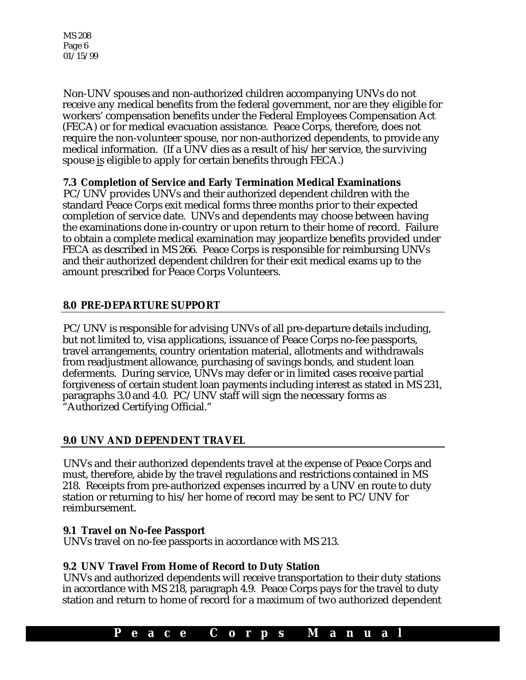MS 208 Page 6 01/15/99

Non-UNV spouses and non-authorized children accompanying UNVs do not receive any medical benefits from the federal government, nor are they eligible for workers' compensation benefits under the Federal Employees Compensation Act (FECA) or for medical evacuation assistance. Peace Corps, therefore, does not require the non-volunteer spouse, nor non-authorized dependents, to provide any medical information. (If a UNV dies as a result of his/her service, the surviving spouse is eligible to apply for certain benefits through FECA.)

# **7.3 Completion of Service and Early Termination Medical Examinations**

PC/UNV provides UNVs and their authorized dependent children with the standard Peace Corps exit medical forms three months prior to their expected completion of service date. UNVs and dependents may choose between having the examinations done in-country or upon return to their home of record. Failure to obtain a complete medical examination may jeopardize benefits provided under FECA as described in MS 266. Peace Corps is responsible for reimbursing UNVs and their authorized dependent children for their exit medical exams up to the amount prescribed for Peace Corps Volunteers.

# **8.0 PRE-DEPARTURE SUPPORT**

PC/UNV is responsible for advising UNVs of all pre-departure details including, but not limited to, visa applications, issuance of Peace Corps no-fee passports, travel arrangements, country orientation material, allotments and withdrawals from readjustment allowance, purchasing of savings bonds, and student loan deferments. During service, UNVs may defer or in limited cases receive partial forgiveness of certain student loan payments including interest as stated in MS 231, paragraphs 3.0 and 4.0. PC/UNV staff will sign the necessary forms as "Authorized Certifying Official."

# **9.0 UNV AND DEPENDENT TRAVEL**

UNVs and their authorized dependents travel at the expense of Peace Corps and must, therefore, abide by the travel regulations and restrictions contained in MS 218. Receipts from pre-authorized expenses incurred by a UNV en route to duty station or returning to his/her home of record may be sent to PC/UNV for reimbursement.

# **9.1 Travel on No-fee Passport**

UNVs travel on no-fee passports in accordance with MS 213.

# **9.2 UNV Travel From Home of Record to Duty Station**

UNVs and authorized dependents will receive transportation to their duty stations in accordance with MS 218, paragraph 4.9. Peace Corps pays for the travel to duty station and return to home of record for a maximum of two authorized dependent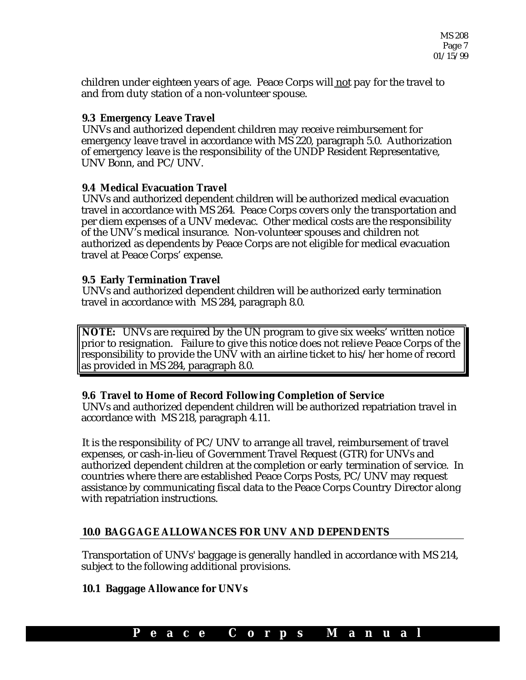children under eighteen years of age. Peace Corps will not pay for the travel to and from duty station of a non-volunteer spouse.

#### **9.3 Emergency Leave Travel**

UNVs and authorized dependent children may receive reimbursement for emergency leave travel in accordance with MS 220, paragraph 5.0. Authorization of emergency leave is the responsibility of the UNDP Resident Representative, UNV Bonn, and PC/UNV.

#### **9.4 Medical Evacuation Travel**

UNVs and authorized dependent children will be authorized medical evacuation travel in accordance with MS 264. Peace Corps covers only the transportation and per diem expenses of a UNV medevac. Other medical costs are the responsibility of the UNV's medical insurance. Non-volunteer spouses and children not authorized as dependents by Peace Corps are not eligible for medical evacuation travel at Peace Corps' expense.

#### **9.5 Early Termination Travel**

UNVs and authorized dependent children will be authorized early termination travel in accordance with MS 284, paragraph 8.0.

**NOTE:** UNVs are required by the UN program to give six weeks' written notice prior to resignation. Failure to give this notice does not relieve Peace Corps of the responsibility to provide the UNV with an airline ticket to his/her home of record as provided in MS 284, paragraph 8.0.

# **9.6 Travel to Home of Record Following Completion of Service**

UNVs and authorized dependent children will be authorized repatriation travel in accordance with MS 218, paragraph 4.11.

It is the responsibility of PC/UNV to arrange all travel, reimbursement of travel expenses, or cash-in-lieu of Government Travel Request (GTR) for UNVs and authorized dependent children at the completion or early termination of service. In countries where there are established Peace Corps Posts, PC/UNV may request assistance by communicating fiscal data to the Peace Corps Country Director along with repatriation instructions.

# **10.0 BAGGAGE ALLOWANCES FOR UNV AND DEPENDENTS**

Transportation of UNVs' baggage is generally handled in accordance with MS 214, subject to the following additional provisions.

# **10.1 Baggage Allowance for UNVs**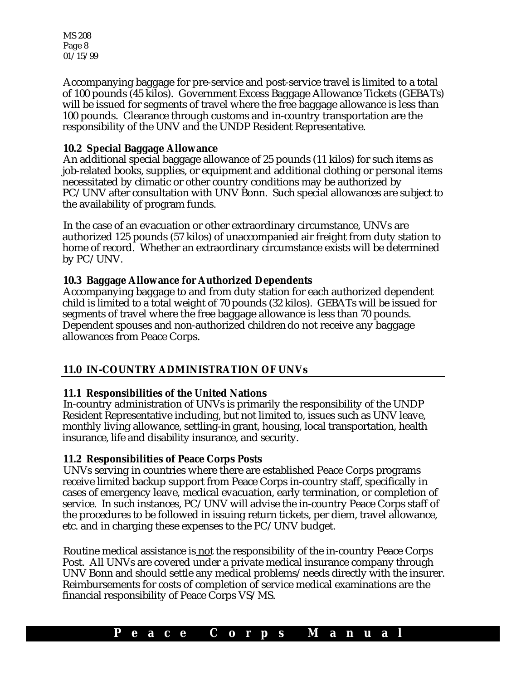MS 208 Page 8 01/15/99

Accompanying baggage for pre-service and post-service travel is limited to a total of 100 pounds (45 kilos). Government Excess Baggage Allowance Tickets (GEBATs) will be issued for segments of travel where the free baggage allowance is less than 100 pounds. Clearance through customs and in-country transportation are the responsibility of the UNV and the UNDP Resident Representative.

# **10.2 Special Baggage Allowance**

An additional special baggage allowance of 25 pounds (11 kilos) for such items as job-related books, supplies, or equipment and additional clothing or personal items necessitated by climatic or other country conditions may be authorized by PC/UNV after consultation with UNV Bonn. Such special allowances are subject to the availability of program funds.

In the case of an evacuation or other extraordinary circumstance, UNVs are authorized 125 pounds (57 kilos) of unaccompanied air freight from duty station to home of record. Whether an extraordinary circumstance exists will be determined by PC/UNV.

# **10.3 Baggage Allowance for Authorized Dependents**

Accompanying baggage to and from duty station for each authorized dependent child is limited to a total weight of 70 pounds (32 kilos). GEBATs will be issued for segments of travel where the free baggage allowance is less than 70 pounds. Dependent spouses and non-authorized children do not receive any baggage allowances from Peace Corps.

# **11.0 IN-COUNTRY ADMINISTRATION OF UNVs**

# **11.1 Responsibilities of the United Nations**

In-country administration of UNVs is primarily the responsibility of the UNDP Resident Representative including, but not limited to, issues such as UNV leave, monthly living allowance, settling-in grant, housing, local transportation, health insurance, life and disability insurance, and security.

# **11.2 Responsibilities of Peace Corps Posts**

UNVs serving in countries where there are established Peace Corps programs receive limited backup support from Peace Corps in-country staff, specifically in cases of emergency leave, medical evacuation, early termination, or completion of service. In such instances, PC/UNV will advise the in-country Peace Corps staff of the procedures to be followed in issuing return tickets, per diem, travel allowance, etc. and in charging these expenses to the PC/UNV budget.

Routine medical assistance is not the responsibility of the in-country Peace Corps Post. All UNVs are covered under a private medical insurance company through UNV Bonn and should settle any medical problems/needs directly with the insurer. Reimbursements for costs of completion of service medical examinations are the financial responsibility of Peace Corps VS/MS.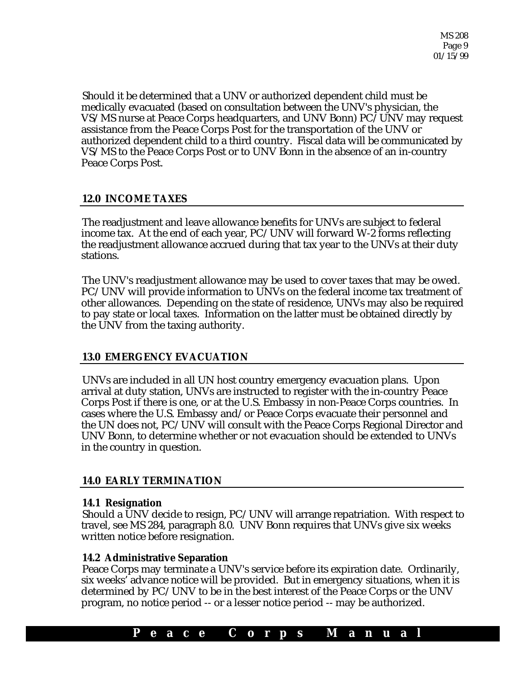Should it be determined that a UNV or authorized dependent child must be medically evacuated (based on consultation between the UNV's physician, the VS/MS nurse at Peace Corps headquarters, and UNV Bonn) PC/UNV may request assistance from the Peace Corps Post for the transportation of the UNV or authorized dependent child to a third country. Fiscal data will be communicated by VS/MS to the Peace Corps Post or to UNV Bonn in the absence of an in-country Peace Corps Post.

# **12.0 INCOME TAXES**

The readjustment and leave allowance benefits for UNVs are subject to federal income tax. At the end of each year, PC/UNV will forward W-2 forms reflecting the readjustment allowance accrued during that tax year to the UNVs at their duty stations.

The UNV's readjustment allowance may be used to cover taxes that may be owed. PC/UNV will provide information to UNVs on the federal income tax treatment of other allowances. Depending on the state of residence, UNVs may also be required to pay state or local taxes. Information on the latter must be obtained directly by the UNV from the taxing authority.

# **13.0 EMERGENCY EVACUATION**

UNVs are included in all UN host country emergency evacuation plans. Upon arrival at duty station, UNVs are instructed to register with the in-country Peace Corps Post if there is one, or at the U.S. Embassy in non-Peace Corps countries. In cases where the U.S. Embassy and/or Peace Corps evacuate their personnel and the UN does not, PC/UNV will consult with the Peace Corps Regional Director and UNV Bonn, to determine whether or not evacuation should be extended to UNVs in the country in question.

# **14.0 EARLY TERMINATION**

# **14.1 Resignation**

Should a UNV decide to resign, PC/UNV will arrange repatriation. With respect to travel, see MS 284, paragraph 8.0. UNV Bonn requires that UNVs give six weeks written notice before resignation.

# **14.2 Administrative Separation**

Peace Corps may terminate a UNV's service before its expiration date. Ordinarily, six weeks' advance notice will be provided. But in emergency situations, when it is determined by PC/UNV to be in the best interest of the Peace Corps or the UNV program, no notice period -- or a lesser notice period -- may be authorized.

# **P e a c e C o r p s M a n u a l**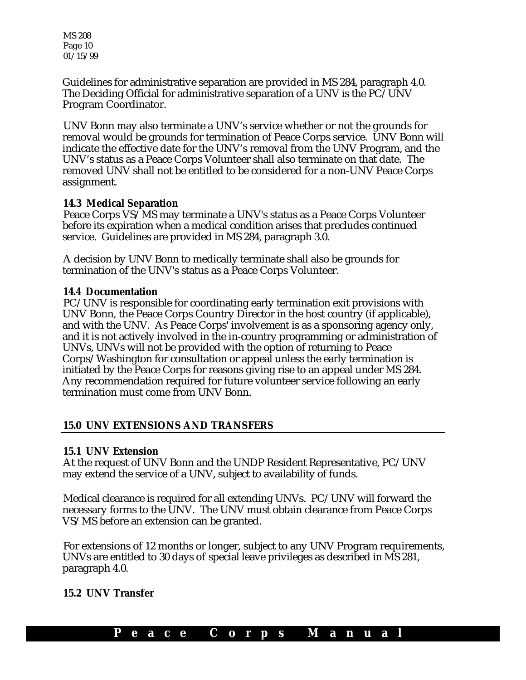MS 208 Page 10 01/15/99

Guidelines for administrative separation are provided in MS 284, paragraph 4.0. The Deciding Official for administrative separation of a UNV is the PC/UNV Program Coordinator.

UNV Bonn may also terminate a UNV's service whether or not the grounds for removal would be grounds for termination of Peace Corps service. UNV Bonn will indicate the effective date for the UNV's removal from the UNV Program, and the UNV's status as a Peace Corps Volunteer shall also terminate on that date.The removed UNV shall not be entitled to be considered for a non-UNV Peace Corps assignment.

#### **14.3 Medical Separation**

Peace Corps VS/MS may terminate a UNV's status as a Peace Corps Volunteer before its expiration when a medical condition arises that precludes continued service. Guidelines are provided in MS 284, paragraph 3.0.

A decision by UNV Bonn to medically terminate shall also be grounds for termination of the UNV's status as a Peace Corps Volunteer.

#### **14.4 Documentation**

PC/UNV is responsible for coordinating early termination exit provisions with UNV Bonn, the Peace Corps Country Director in the host country (if applicable), and with the UNV. As Peace Corps' involvement is as a sponsoring agency only, and it is not actively involved in the in-country programming or administration of UNVs, UNVs will not be provided with the option of returning to Peace Corps/Washington for consultation or appeal unless the early termination is initiated by the Peace Corps for reasons giving rise to an appeal under MS 284. Any recommendation required for future volunteer service following an early termination must come from UNV Bonn.

#### **15.0 UNV EXTENSIONS AND TRANSFERS**

#### **15.1 UNV Extension**

At the request of UNV Bonn and the UNDP Resident Representative, PC/UNV may extend the service of a UNV, subject to availability of funds.

Medical clearance is required for all extending UNVs. PC/UNV will forward the necessary forms to the UNV. The UNV must obtain clearance from Peace Corps VS/MS before an extension can be granted.

For extensions of 12 months or longer, subject to any UNV Program requirements, UNVs are entitled to 30 days of special leave privileges as described in MS 281, paragraph 4.0.

# **15.2 UNV Transfer**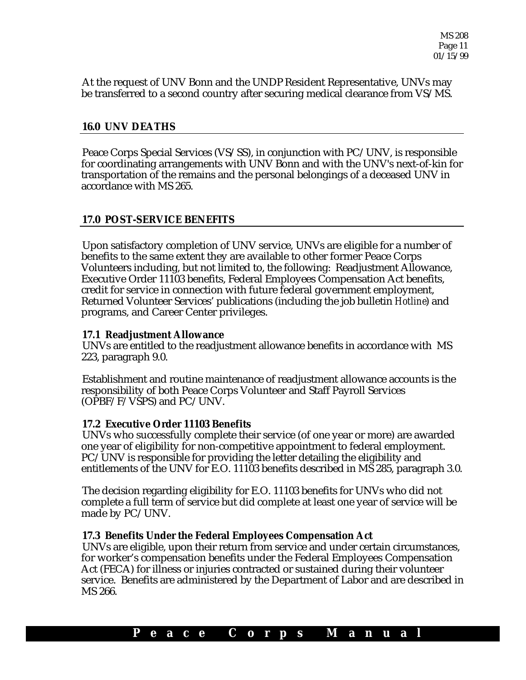At the request of UNV Bonn and the UNDP Resident Representative, UNVs may be transferred to a second country after securing medical clearance from VS/MS.

#### **16.0 UNV DEATHS**

Peace Corps Special Services (VS/SS), in conjunction with PC/UNV, is responsible for coordinating arrangements with UNV Bonn and with the UNV's next-of-kin for transportation of the remains and the personal belongings of a deceased UNV in accordance with MS 265.

# **17.0 POST-SERVICE BENEFITS**

Upon satisfactory completion of UNV service, UNVs are eligible for a number of benefits to the same extent they are available to other former Peace Corps Volunteers including, but not limited to, the following: Readjustment Allowance, Executive Order 11103 benefits, Federal Employees Compensation Act benefits, credit for service in connection with future federal government employment, Returned Volunteer Services' publications (including the job bulletin *Hotline*) and programs, and Career Center privileges.

#### **17.1 Readjustment Allowance**

UNVs are entitled to the readjustment allowance benefits in accordance with MS 223, paragraph 9.0.

Establishment and routine maintenance of readjustment allowance accounts is the responsibility of both Peace Corps Volunteer and Staff Payroll Services (OPBF/F/VSPS) and PC/UNV.

#### **17.2 Executive Order 11103 Benefits**

UNVs who successfully complete their service (of one year or more) are awarded one year of eligibility for non-competitive appointment to federal employment. PC/UNV is responsible for providing the letter detailing the eligibility and entitlements of the UNV for E.O. 11103 benefits described in MS 285, paragraph 3.0.

The decision regarding eligibility for E.O. 11103 benefits for UNVs who did not complete a full term of service but did complete at least one year of service will be made by PC/UNV.

#### **17.3 Benefits Under the Federal Employees Compensation Act**

UNVs are eligible, upon their return from service and under certain circumstances, for worker's compensation benefits under the Federal Employees Compensation Act (FECA) for illness or injuries contracted or sustained during their volunteer service. Benefits are administered by the Department of Labor and are described in MS 266.